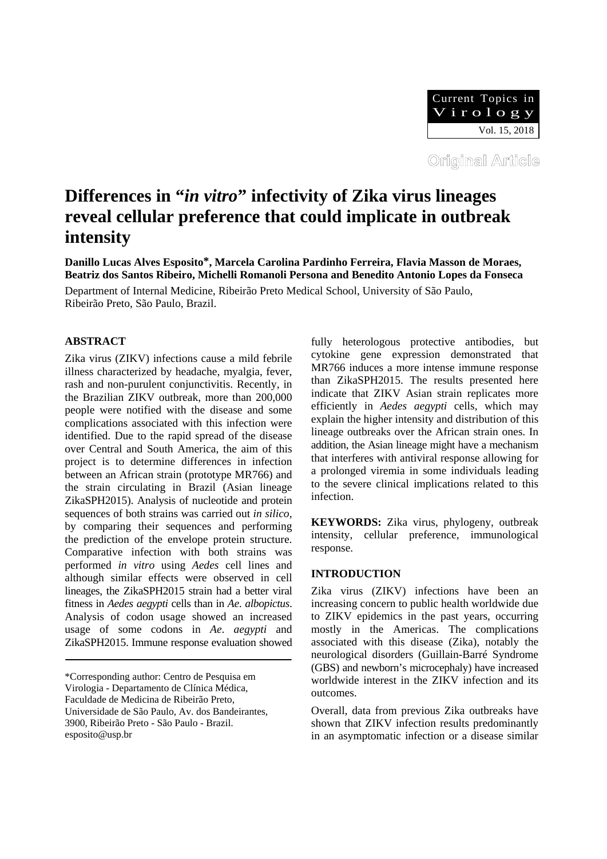

# **Differences in "***in vitro***" infectivity of Zika virus lineages reveal cellular preference that could implicate in outbreak intensity**

**Danillo Lucas Alves Esposito\*, Marcela Carolina Pardinho Ferreira, Flavia Masson de Moraes, Beatriz dos Santos Ribeiro, Michelli Romanoli Persona and Benedito Antonio Lopes da Fonseca** 

Department of Internal Medicine, Ribeirão Preto Medical School, University of São Paulo, Ribeirão Preto, São Paulo, Brazil.

# **ABSTRACT**

Zika virus (ZIKV) infections cause a mild febrile illness characterized by headache, myalgia, fever, rash and non-purulent conjunctivitis. Recently, in the Brazilian ZIKV outbreak, more than 200,000 people were notified with the disease and some complications associated with this infection were identified. Due to the rapid spread of the disease over Central and South America, the aim of this project is to determine differences in infection between an African strain (prototype MR766) and the strain circulating in Brazil (Asian lineage ZikaSPH2015). Analysis of nucleotide and protein sequences of both strains was carried out *in silico*, by comparing their sequences and performing the prediction of the envelope protein structure. Comparative infection with both strains was performed *in vitro* using *Aedes* cell lines and although similar effects were observed in cell lineages, the ZikaSPH2015 strain had a better viral fitness in *Aedes aegypti* cells than in *Ae*. *albopictus*. Analysis of codon usage showed an increased usage of some codons in *Ae*. *aegypti* and ZikaSPH2015. Immune response evaluation showed fully heterologous protective antibodies, but cytokine gene expression demonstrated that MR766 induces a more intense immune response than ZikaSPH2015. The results presented here indicate that ZIKV Asian strain replicates more efficiently in *Aedes aegypti* cells, which may explain the higher intensity and distribution of this lineage outbreaks over the African strain ones. In addition, the Asian lineage might have a mechanism that interferes with antiviral response allowing for a prolonged viremia in some individuals leading to the severe clinical implications related to this infection.

**KEYWORDS:** Zika virus, phylogeny, outbreak intensity, cellular preference, immunological response.

# **INTRODUCTION**

Zika virus (ZIKV) infections have been an increasing concern to public health worldwide due to ZIKV epidemics in the past years, occurring mostly in the Americas. The complications associated with this disease (Zika), notably the neurological disorders (Guillain-Barré Syndrome (GBS) and newborn's microcephaly) have increased worldwide interest in the ZIKV infection and its outcomes.

Overall, data from previous Zika outbreaks have shown that ZIKV infection results predominantly in an asymptomatic infection or a disease similar

<sup>\*</sup>Corresponding author: Centro de Pesquisa em Virologia - Departamento de Clínica Médica, Faculdade de Medicina de Ribeirão Preto, Universidade de São Paulo, Av. dos Bandeirantes, 3900, Ribeirão Preto - São Paulo - Brazil. esposito@usp.br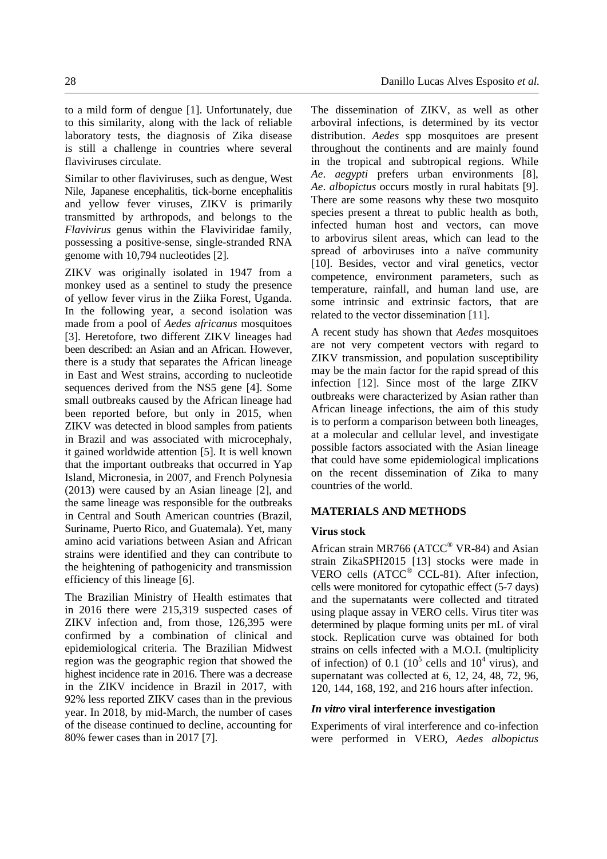to a mild form of dengue [1]. Unfortunately, due to this similarity, along with the lack of reliable laboratory tests, the diagnosis of Zika disease is still a challenge in countries where several flaviviruses circulate.

Similar to other flaviviruses, such as dengue, West Nile, Japanese encephalitis, tick-borne encephalitis and yellow fever viruses, ZIKV is primarily transmitted by arthropods, and belongs to the *Flavivirus* genus within the Flaviviridae family, possessing a positive-sense, single-stranded RNA genome with 10,794 nucleotides [2].

ZIKV was originally isolated in 1947 from a monkey used as a sentinel to study the presence of yellow fever virus in the Ziika Forest, Uganda. In the following year, a second isolation was made from a pool of *Aedes africanus* mosquitoes [3]. Heretofore, two different ZIKV lineages had been described: an Asian and an African. However, there is a study that separates the African lineage in East and West strains, according to nucleotide sequences derived from the NS5 gene [4]. Some small outbreaks caused by the African lineage had been reported before, but only in 2015, when ZIKV was detected in blood samples from patients in Brazil and was associated with microcephaly, it gained worldwide attention [5]. It is well known that the important outbreaks that occurred in Yap Island, Micronesia, in 2007, and French Polynesia (2013) were caused by an Asian lineage [2], and the same lineage was responsible for the outbreaks in Central and South American countries (Brazil, Suriname, Puerto Rico, and Guatemala). Yet, many amino acid variations between Asian and African strains were identified and they can contribute to the heightening of pathogenicity and transmission efficiency of this lineage [6].

The Brazilian Ministry of Health estimates that in 2016 there were 215,319 suspected cases of ZIKV infection and, from those, 126,395 were confirmed by a combination of clinical and epidemiological criteria. The Brazilian Midwest region was the geographic region that showed the highest incidence rate in 2016. There was a decrease in the ZIKV incidence in Brazil in 2017, with 92% less reported ZIKV cases than in the previous year. In 2018, by mid-March, the number of cases of the disease continued to decline, accounting for 80% fewer cases than in 2017 [7].

The dissemination of ZIKV, as well as other arboviral infections, is determined by its vector distribution. *Aedes* spp mosquitoes are present throughout the continents and are mainly found in the tropical and subtropical regions. While *Ae*. *aegypti* prefers urban environments [8], *Ae*. *albopictus* occurs mostly in rural habitats [9]. There are some reasons why these two mosquito species present a threat to public health as both, infected human host and vectors, can move to arbovirus silent areas, which can lead to the spread of arboviruses into a naïve community [10]. Besides, vector and viral genetics, vector competence, environment parameters, such as temperature, rainfall, and human land use, are some intrinsic and extrinsic factors, that are related to the vector dissemination [11].

A recent study has shown that *Aedes* mosquitoes are not very competent vectors with regard to ZIKV transmission, and population susceptibility may be the main factor for the rapid spread of this infection [12]. Since most of the large ZIKV outbreaks were characterized by Asian rather than African lineage infections, the aim of this study is to perform a comparison between both lineages, at a molecular and cellular level, and investigate possible factors associated with the Asian lineage that could have some epidemiological implications on the recent dissemination of Zika to many countries of the world.

# **MATERIALS AND METHODS**

#### **Virus stock**

African strain MR766 (ATCC<sup>®</sup> VR-84) and Asian strain ZikaSPH2015 [13] stocks were made in VERO cells (ATCC® CCL-81). After infection, cells were monitored for cytopathic effect (5-7 days) and the supernatants were collected and titrated using plaque assay in VERO cells. Virus titer was determined by plaque forming units per mL of viral stock. Replication curve was obtained for both strains on cells infected with a M.O.I. (multiplicity of infection) of 0.1 ( $10^5$  cells and  $10^4$  virus), and supernatant was collected at 6, 12, 24, 48, 72, 96, 120, 144, 168, 192, and 216 hours after infection.

#### *In vitro* **viral interference investigation**

Experiments of viral interference and co-infection were performed in VERO, *Aedes albopictus*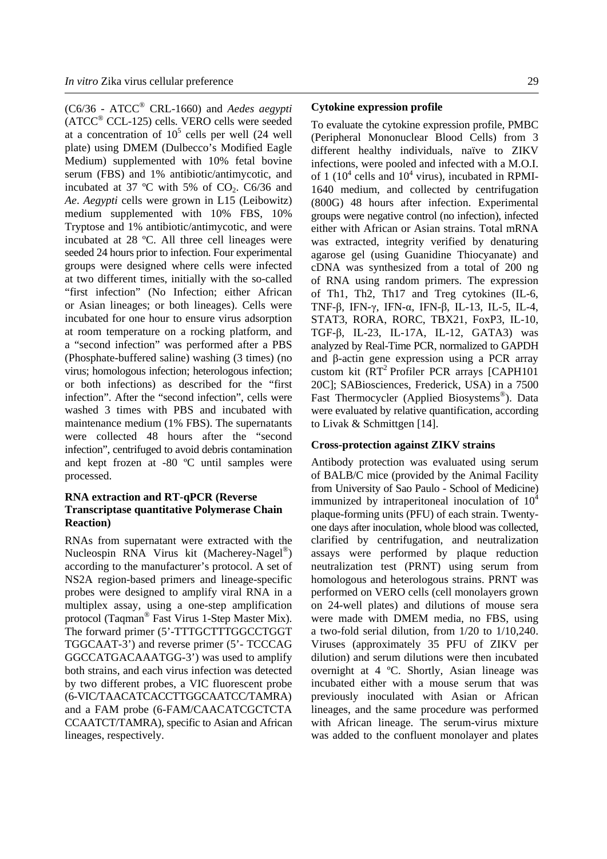(C6/36 - ATCC® CRL-1660) and *Aedes aegypti* (ATCC® CCL-125) cells. VERO cells were seeded at a concentration of  $10^5$  cells per well (24 well plate) using DMEM (Dulbecco's Modified Eagle Medium) supplemented with 10% fetal bovine serum (FBS) and 1% antibiotic/antimycotic, and incubated at 37  $^{\circ}$ C with 5% of CO<sub>2</sub>. C6/36 and *Ae*. *Aegypti* cells were grown in L15 (Leibowitz) medium supplemented with 10% FBS, 10% Tryptose and 1% antibiotic/antimycotic, and were incubated at 28 ºC. All three cell lineages were seeded 24 hours prior to infection. Four experimental groups were designed where cells were infected at two different times, initially with the so-called "first infection" (No Infection; either African or Asian lineages; or both lineages). Cells were incubated for one hour to ensure virus adsorption at room temperature on a rocking platform, and a "second infection" was performed after a PBS (Phosphate-buffered saline) washing (3 times) (no virus; homologous infection; heterologous infection; or both infections) as described for the "first infection". After the "second infection", cells were washed 3 times with PBS and incubated with maintenance medium (1% FBS). The supernatants were collected 48 hours after the "second infection", centrifuged to avoid debris contamination and kept frozen at -80 ºC until samples were processed.

# **RNA extraction and RT-qPCR (Reverse Transcriptase quantitative Polymerase Chain Reaction)**

RNAs from supernatant were extracted with the Nucleospin RNA Virus kit (Macherey-Nagel®) according to the manufacturer's protocol. A set of NS2A region-based primers and lineage-specific probes were designed to amplify viral RNA in a multiplex assay, using a one-step amplification protocol (Taqman® Fast Virus 1-Step Master Mix). The forward primer (5'-TTTGCTTTGGCCTGGT TGGCAAT-3') and reverse primer (5'- TCCCAG GGCCATGACAAATGG-3') was used to amplify both strains, and each virus infection was detected by two different probes, a VIC fluorescent probe (6-VIC/TAACATCACCTTGGCAATCC/TAMRA) and a FAM probe (6-FAM/CAACATCGCTCTA CCAATCT/TAMRA), specific to Asian and African lineages, respectively.

#### **Cytokine expression profile**

To evaluate the cytokine expression profile, PMBC (Peripheral Mononuclear Blood Cells) from 3 different healthy individuals, naïve to ZIKV infections, were pooled and infected with a M.O.I. of 1 ( $10^4$  cells and  $10^4$  virus), incubated in RPMI-1640 medium, and collected by centrifugation (800G) 48 hours after infection. Experimental groups were negative control (no infection), infected either with African or Asian strains. Total mRNA was extracted, integrity verified by denaturing agarose gel (using Guanidine Thiocyanate) and cDNA was synthesized from a total of 200 ng of RNA using random primers. The expression of Th1, Th2, Th17 and Treg cytokines (IL-6, TNF-β, IFN-γ, IFN-α, IFN-β, IL-13, IL-5, IL-4, STAT3, RORA, RORC, TBX21, FoxP3, IL-10, TGF-β, IL-23, IL-17A, IL-12, GATA3) was analyzed by Real-Time PCR, normalized to GAPDH and β-actin gene expression using a PCR array custom kit (RT<sup>2</sup> Profiler PCR arrays [CAPH101 20C]; SABiosciences, Frederick, USA) in a 7500 Fast Thermocycler (Applied Biosystems®). Data were evaluated by relative quantification, according to Livak & Schmittgen [14].

#### **Cross-protection against ZIKV strains**

Antibody protection was evaluated using serum of BALB/C mice (provided by the Animal Facility from University of Sao Paulo - School of Medicine) immunized by intraperitoneal inoculation of  $10<sup>4</sup>$ plaque-forming units (PFU) of each strain. Twentyone days after inoculation, whole blood was collected, clarified by centrifugation, and neutralization assays were performed by plaque reduction neutralization test (PRNT) using serum from homologous and heterologous strains. PRNT was performed on VERO cells (cell monolayers grown on 24-well plates) and dilutions of mouse sera were made with DMEM media, no FBS, using a two-fold serial dilution, from 1/20 to 1/10,240. Viruses (approximately 35 PFU of ZIKV per dilution) and serum dilutions were then incubated overnight at 4 ºC. Shortly, Asian lineage was incubated either with a mouse serum that was previously inoculated with Asian or African lineages, and the same procedure was performed with African lineage. The serum-virus mixture was added to the confluent monolayer and plates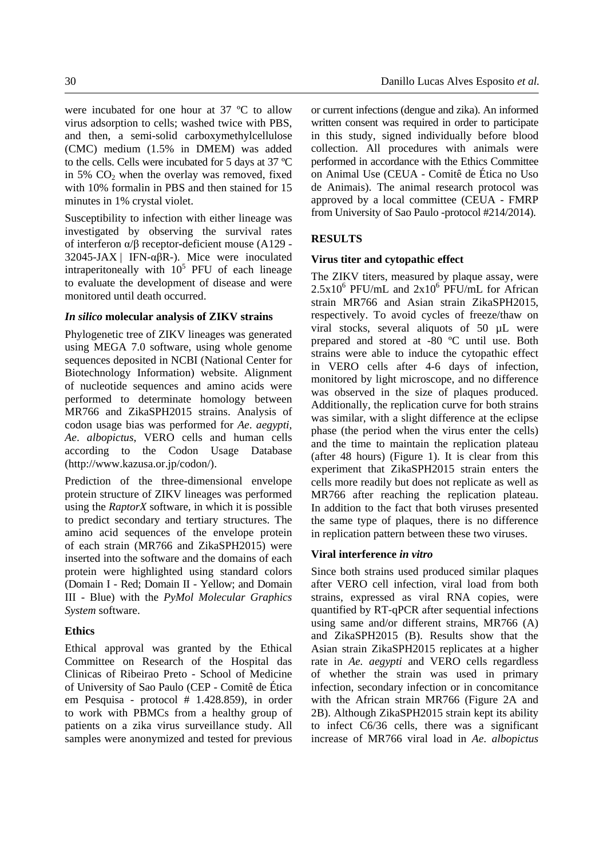were incubated for one hour at 37 ºC to allow virus adsorption to cells; washed twice with PBS, and then, a semi-solid carboxymethylcellulose (CMC) medium (1.5% in DMEM) was added to the cells. Cells were incubated for 5 days at 37 ºC in 5%  $CO<sub>2</sub>$  when the overlay was removed, fixed with 10% formalin in PBS and then stained for 15 minutes in 1% crystal violet.

Susceptibility to infection with either lineage was investigated by observing the survival rates of interferon α/β receptor-deficient mouse (A129 - 32045-JAX | IFN-αβR-). Mice were inoculated intraperitoneally with  $10^5$  PFU of each lineage to evaluate the development of disease and were monitored until death occurred.

#### *In silico* **molecular analysis of ZIKV strains**

Phylogenetic tree of ZIKV lineages was generated using MEGA 7.0 software, using whole genome sequences deposited in NCBI (National Center for Biotechnology Information) website. Alignment of nucleotide sequences and amino acids were performed to determinate homology between MR766 and ZikaSPH2015 strains. Analysis of codon usage bias was performed for *Ae*. *aegypti, Ae*. *albopictus*, VERO cells and human cells according to the Codon Usage Database (http://www.kazusa.or.jp/codon/).

Prediction of the three-dimensional envelope protein structure of ZIKV lineages was performed using the *RaptorX* software, in which it is possible to predict secondary and tertiary structures. The amino acid sequences of the envelope protein of each strain (MR766 and ZikaSPH2015) were inserted into the software and the domains of each protein were highlighted using standard colors (Domain I - Red; Domain II - Yellow; and Domain III - Blue) with the *PyMol Molecular Graphics System* software.

# **Ethics**

Ethical approval was granted by the Ethical Committee on Research of the Hospital das Clinicas of Ribeirao Preto - School of Medicine of University of Sao Paulo (CEP - Comitê de Ética em Pesquisa - protocol # 1.428.859), in order to work with PBMCs from a healthy group of patients on a zika virus surveillance study. All samples were anonymized and tested for previous or current infections (dengue and zika). An informed written consent was required in order to participate in this study, signed individually before blood collection. All procedures with animals were performed in accordance with the Ethics Committee on Animal Use (CEUA - Comitê de Ética no Uso de Animais). The animal research protocol was approved by a local committee (CEUA - FMRP from University of Sao Paulo -protocol #214/2014).

# **RESULTS**

#### **Virus titer and cytopathic effect**

The ZIKV titers, measured by plaque assay, were  $2.5x10^6$  PFU/mL and  $2x10^6$  PFU/mL for African strain MR766 and Asian strain ZikaSPH2015, respectively. To avoid cycles of freeze/thaw on viral stocks, several aliquots of 50 µL were prepared and stored at -80 ºC until use. Both strains were able to induce the cytopathic effect in VERO cells after 4-6 days of infection, monitored by light microscope, and no difference was observed in the size of plaques produced. Additionally, the replication curve for both strains was similar, with a slight difference at the eclipse phase (the period when the virus enter the cells) and the time to maintain the replication plateau (after 48 hours) (Figure 1). It is clear from this experiment that ZikaSPH2015 strain enters the cells more readily but does not replicate as well as MR766 after reaching the replication plateau. In addition to the fact that both viruses presented the same type of plaques, there is no difference in replication pattern between these two viruses.

#### **Viral interference** *in vitro*

Since both strains used produced similar plaques after VERO cell infection, viral load from both strains, expressed as viral RNA copies, were quantified by RT-qPCR after sequential infections using same and/or different strains, MR766 (A) and ZikaSPH2015 (B). Results show that the Asian strain ZikaSPH2015 replicates at a higher rate in *Ae. aegypti* and VERO cells regardless of whether the strain was used in primary infection, secondary infection or in concomitance with the African strain MR766 (Figure 2A and 2B). Although ZikaSPH2015 strain kept its ability to infect C6/36 cells, there was a significant increase of MR766 viral load in *Ae*. *albopictus*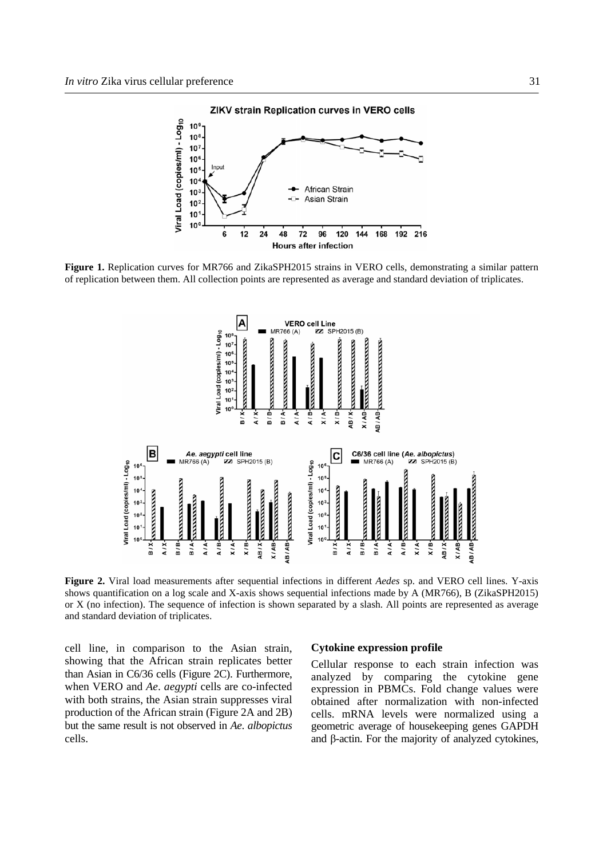

**Figure 1.** Replication curves for MR766 and ZikaSPH2015 strains in VERO cells, demonstrating a similar pattern of replication between them. All collection points are represented as average and standard deviation of triplicates.



**Figure 2.** Viral load measurements after sequential infections in different *Aedes* sp. and VERO cell lines. Y-axis shows quantification on a log scale and X-axis shows sequential infections made by A (MR766), B (ZikaSPH2015) or X (no infection). The sequence of infection is shown separated by a slash. All points are represented as average and standard deviation of triplicates.

cell line, in comparison to the Asian strain, showing that the African strain replicates better than Asian in C6/36 cells (Figure 2C). Furthermore, when VERO and *Ae*. *aegypti* cells are co-infected with both strains, the Asian strain suppresses viral production of the African strain (Figure 2A and 2B) but the same result is not observed in *Ae*. *albopictus* cells.

#### **Cytokine expression profile**

Cellular response to each strain infection was analyzed by comparing the cytokine gene expression in PBMCs. Fold change values were obtained after normalization with non-infected cells. mRNA levels were normalized using a geometric average of housekeeping genes GAPDH and β-actin. For the majority of analyzed cytokines,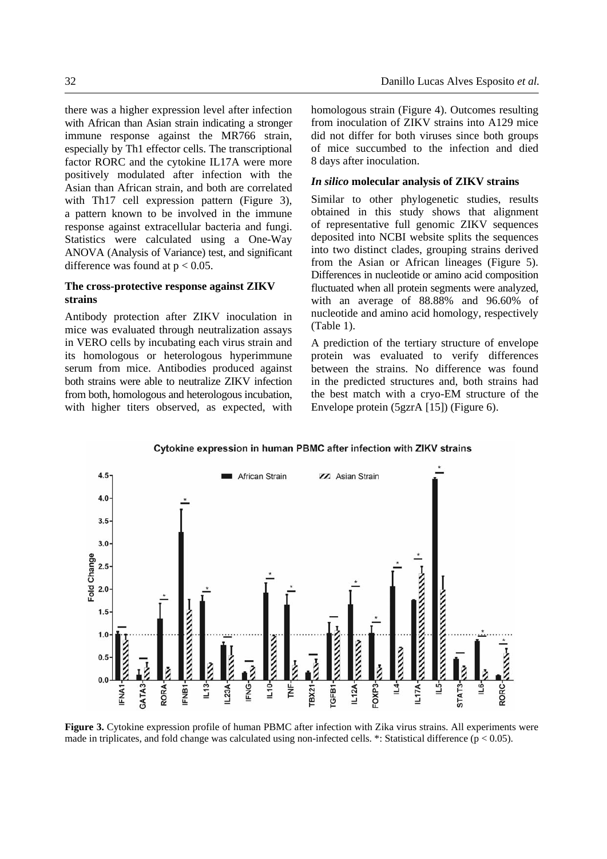there was a higher expression level after infection with African than Asian strain indicating a stronger immune response against the MR766 strain, especially by Th1 effector cells. The transcriptional factor RORC and the cytokine IL17A were more positively modulated after infection with the Asian than African strain, and both are correlated with Th17 cell expression pattern (Figure 3), a pattern known to be involved in the immune response against extracellular bacteria and fungi. Statistics were calculated using a One-Way ANOVA (Analysis of Variance) test, and significant difference was found at  $p < 0.05$ .

# **The cross-protective response against ZIKV strains**

Antibody protection after ZIKV inoculation in mice was evaluated through neutralization assays in VERO cells by incubating each virus strain and its homologous or heterologous hyperimmune serum from mice. Antibodies produced against both strains were able to neutralize ZIKV infection from both, homologous and heterologous incubation, with higher titers observed, as expected, with homologous strain (Figure 4). Outcomes resulting from inoculation of ZIKV strains into A129 mice did not differ for both viruses since both groups of mice succumbed to the infection and died 8 days after inoculation.

#### *In silico* **molecular analysis of ZIKV strains**

Similar to other phylogenetic studies, results obtained in this study shows that alignment of representative full genomic ZIKV sequences deposited into NCBI website splits the sequences into two distinct clades, grouping strains derived from the Asian or African lineages (Figure 5). Differences in nucleotide or amino acid composition fluctuated when all protein segments were analyzed, with an average of 88.88% and 96.60% of nucleotide and amino acid homology, respectively (Table 1).

A prediction of the tertiary structure of envelope protein was evaluated to verify differences between the strains. No difference was found in the predicted structures and, both strains had the best match with a cryo-EM structure of the Envelope protein (5gzrA [15]) (Figure 6).





**Figure 3.** Cytokine expression profile of human PBMC after infection with Zika virus strains. All experiments were made in triplicates, and fold change was calculated using non-infected cells.  $*$ : Statistical difference ( $p < 0.05$ ).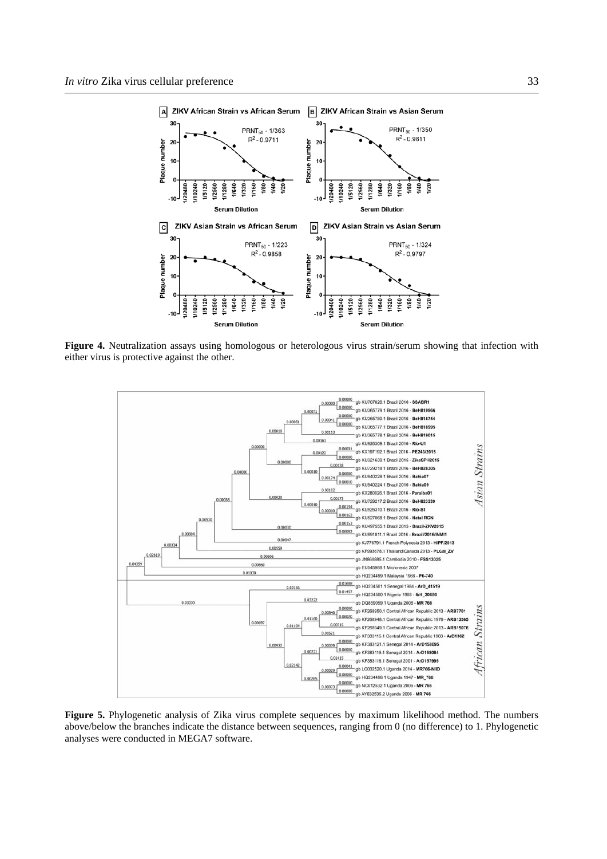

**Figure 4.** Neutralization assays using homologous or heterologous virus strain/serum showing that infection with either virus is protective against the other.



**Figure 5.** Phylogenetic analysis of Zika virus complete sequences by maximum likelihood method. The numbers above/below the branches indicate the distance between sequences, ranging from 0 (no difference) to 1. Phylogenetic analyses were conducted in MEGA7 software.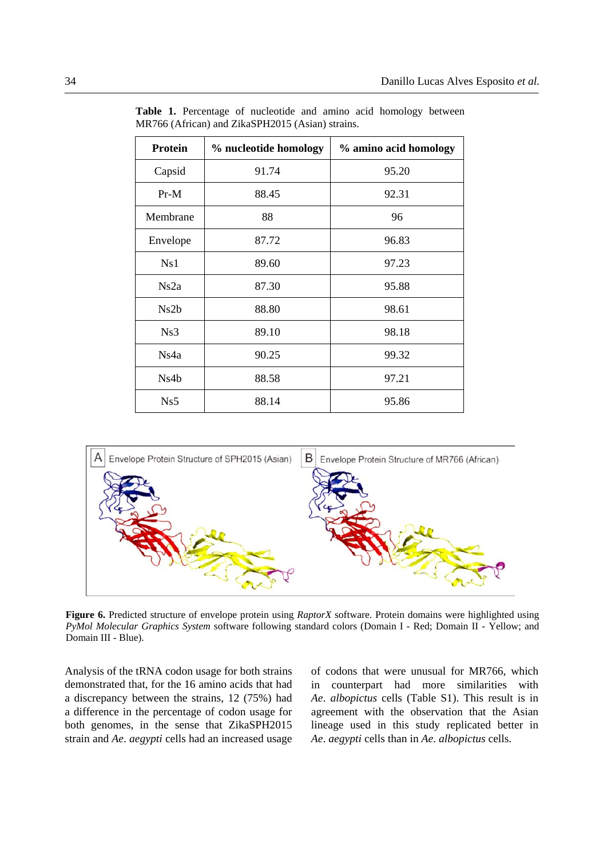| <b>Protein</b> | % nucleotide homology | % amino acid homology |  |
|----------------|-----------------------|-----------------------|--|
| Capsid         | 91.74                 | 95.20                 |  |
| $Pr-M$         | 88.45                 | 92.31                 |  |
| Membrane       | 88                    | 96                    |  |
| Envelope       | 87.72                 | 96.83                 |  |
| Ns1            | 89.60                 | 97.23                 |  |
| Ns2a           | 87.30                 | 95.88                 |  |
| Ns2b           | 88.80                 | 98.61                 |  |
| Ns3            | 89.10                 | 98.18                 |  |
| Ns4a           | 90.25                 | 99.32                 |  |
| Ns4b           | 88.58                 | 97.21                 |  |
| Ns5            | 88.14                 | 95.86                 |  |

**Table 1.** Percentage of nucleotide and amino acid homology between MR766 (African) and ZikaSPH2015 (Asian) strains.



**Figure 6.** Predicted structure of envelope protein using *RaptorX* software. Protein domains were highlighted using *PyMol Molecular Graphics System* software following standard colors (Domain I - Red; Domain II - Yellow; and Domain III - Blue).

Analysis of the tRNA codon usage for both strains demonstrated that, for the 16 amino acids that had a discrepancy between the strains, 12 (75%) had a difference in the percentage of codon usage for both genomes, in the sense that ZikaSPH2015 strain and *Ae*. *aegypti* cells had an increased usage

of codons that were unusual for MR766, which in counterpart had more similarities with *Ae*. *albopictus* cells (Table S1). This result is in agreement with the observation that the Asian lineage used in this study replicated better in *Ae*. *aegypti* cells than in *Ae*. *albopictus* cells.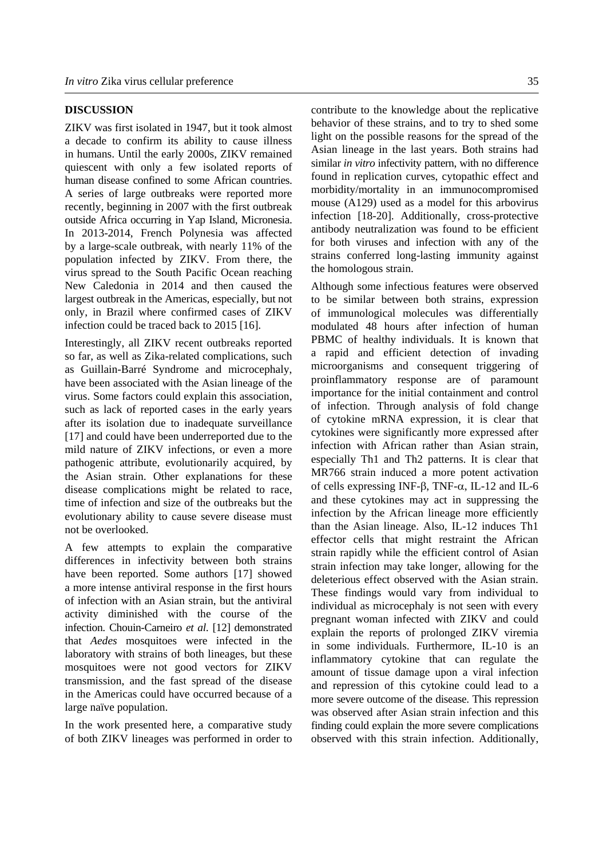# **DISCUSSION**

ZIKV was first isolated in 1947, but it took almost a decade to confirm its ability to cause illness in humans. Until the early 2000s, ZIKV remained quiescent with only a few isolated reports of human disease confined to some African countries. A series of large outbreaks were reported more recently, beginning in 2007 with the first outbreak outside Africa occurring in Yap Island, Micronesia. In 2013-2014, French Polynesia was affected by a large-scale outbreak, with nearly 11% of the population infected by ZIKV. From there, the virus spread to the South Pacific Ocean reaching New Caledonia in 2014 and then caused the largest outbreak in the Americas, especially, but not only, in Brazil where confirmed cases of ZIKV infection could be traced back to 2015 [16].

Interestingly, all ZIKV recent outbreaks reported so far, as well as Zika-related complications, such as Guillain-Barré Syndrome and microcephaly, have been associated with the Asian lineage of the virus. Some factors could explain this association, such as lack of reported cases in the early years after its isolation due to inadequate surveillance [17] and could have been underreported due to the mild nature of ZIKV infections, or even a more pathogenic attribute, evolutionarily acquired, by the Asian strain. Other explanations for these disease complications might be related to race, time of infection and size of the outbreaks but the evolutionary ability to cause severe disease must not be overlooked.

A few attempts to explain the comparative differences in infectivity between both strains have been reported. Some authors [17] showed a more intense antiviral response in the first hours of infection with an Asian strain, but the antiviral activity diminished with the course of the infection. Chouin-Carneiro *et al*. [12] demonstrated that *Aedes* mosquitoes were infected in the laboratory with strains of both lineages, but these mosquitoes were not good vectors for ZIKV transmission, and the fast spread of the disease in the Americas could have occurred because of a large naïve population.

In the work presented here, a comparative study of both ZIKV lineages was performed in order to contribute to the knowledge about the replicative behavior of these strains, and to try to shed some light on the possible reasons for the spread of the Asian lineage in the last years. Both strains had similar *in vitro* infectivity pattern, with no difference found in replication curves, cytopathic effect and morbidity/mortality in an immunocompromised mouse (A129) used as a model for this arbovirus infection [18-20]. Additionally, cross-protective antibody neutralization was found to be efficient for both viruses and infection with any of the strains conferred long-lasting immunity against the homologous strain.

Although some infectious features were observed to be similar between both strains, expression of immunological molecules was differentially modulated 48 hours after infection of human PBMC of healthy individuals. It is known that a rapid and efficient detection of invading microorganisms and consequent triggering of proinflammatory response are of paramount importance for the initial containment and control of infection. Through analysis of fold change of cytokine mRNA expression, it is clear that cytokines were significantly more expressed after infection with African rather than Asian strain, especially Th1 and Th2 patterns. It is clear that MR766 strain induced a more potent activation of cells expressing INF-β, TNF- $\alpha$ , IL-12 and IL-6 and these cytokines may act in suppressing the infection by the African lineage more efficiently than the Asian lineage. Also, IL-12 induces Th1 effector cells that might restraint the African strain rapidly while the efficient control of Asian strain infection may take longer, allowing for the deleterious effect observed with the Asian strain. These findings would vary from individual to individual as microcephaly is not seen with every pregnant woman infected with ZIKV and could explain the reports of prolonged ZIKV viremia in some individuals. Furthermore, IL-10 is an inflammatory cytokine that can regulate the amount of tissue damage upon a viral infection and repression of this cytokine could lead to a more severe outcome of the disease. This repression was observed after Asian strain infection and this finding could explain the more severe complications observed with this strain infection. Additionally,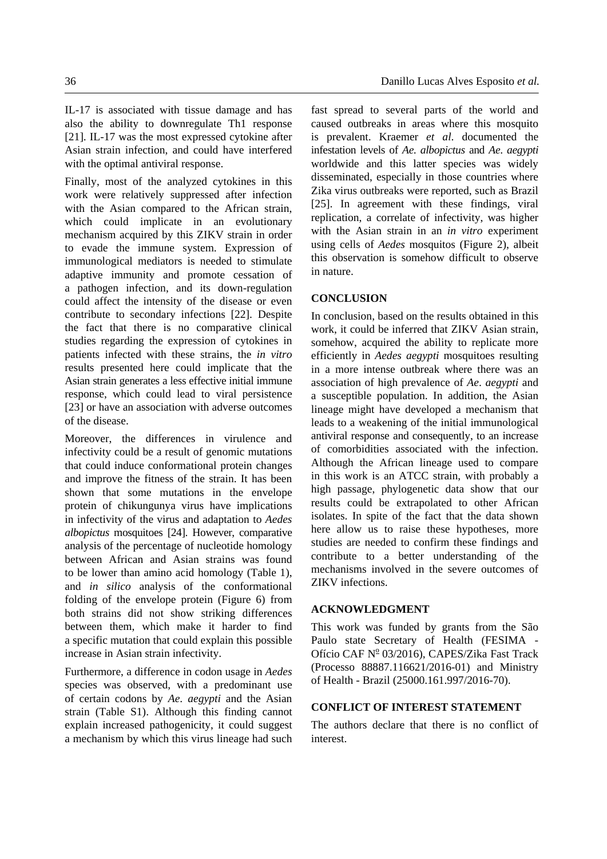IL-17 is associated with tissue damage and has also the ability to downregulate Th1 response [21]. IL-17 was the most expressed cytokine after Asian strain infection, and could have interfered with the optimal antiviral response.

Finally, most of the analyzed cytokines in this work were relatively suppressed after infection with the Asian compared to the African strain, which could implicate in an evolutionary mechanism acquired by this ZIKV strain in order to evade the immune system. Expression of immunological mediators is needed to stimulate adaptive immunity and promote cessation of a pathogen infection, and its down-regulation could affect the intensity of the disease or even contribute to secondary infections [22]. Despite the fact that there is no comparative clinical studies regarding the expression of cytokines in patients infected with these strains, the *in vitro* results presented here could implicate that the Asian strain generates a less effective initial immune response, which could lead to viral persistence [23] or have an association with adverse outcomes of the disease.

Moreover, the differences in virulence and infectivity could be a result of genomic mutations that could induce conformational protein changes and improve the fitness of the strain. It has been shown that some mutations in the envelope protein of chikungunya virus have implications in infectivity of the virus and adaptation to *Aedes albopictus* mosquitoes [24]. However, comparative analysis of the percentage of nucleotide homology between African and Asian strains was found to be lower than amino acid homology (Table 1), and *in silico* analysis of the conformational folding of the envelope protein (Figure 6) from both strains did not show striking differences between them, which make it harder to find a specific mutation that could explain this possible increase in Asian strain infectivity.

Furthermore, a difference in codon usage in *Aedes* species was observed, with a predominant use of certain codons by *Ae*. *aegypti* and the Asian strain (Table S1). Although this finding cannot explain increased pathogenicity, it could suggest a mechanism by which this virus lineage had such fast spread to several parts of the world and caused outbreaks in areas where this mosquito is prevalent. Kraemer *et al*. documented the infestation levels of *Ae*. *albopictus* and *Ae*. *aegypti* worldwide and this latter species was widely disseminated, especially in those countries where Zika virus outbreaks were reported, such as Brazil [25]. In agreement with these findings, viral replication, a correlate of infectivity, was higher with the Asian strain in an *in vitro* experiment using cells of *Aedes* mosquitos (Figure 2), albeit this observation is somehow difficult to observe in nature.

# **CONCLUSION**

In conclusion, based on the results obtained in this work, it could be inferred that ZIKV Asian strain, somehow, acquired the ability to replicate more efficiently in *Aedes aegypti* mosquitoes resulting in a more intense outbreak where there was an association of high prevalence of *Ae*. *aegypti* and a susceptible population. In addition, the Asian lineage might have developed a mechanism that leads to a weakening of the initial immunological antiviral response and consequently, to an increase of comorbidities associated with the infection. Although the African lineage used to compare in this work is an ATCC strain, with probably a high passage, phylogenetic data show that our results could be extrapolated to other African isolates. In spite of the fact that the data shown here allow us to raise these hypotheses, more studies are needed to confirm these findings and contribute to a better understanding of the mechanisms involved in the severe outcomes of ZIKV infections.

# **ACKNOWLEDGMENT**

This work was funded by grants from the São Paulo state Secretary of Health (FESIMA - Ofício CAF Nº 03/2016), CAPES/Zika Fast Track (Processo 88887.116621/2016-01) and Ministry of Health - Brazil (25000.161.997/2016-70).

#### **CONFLICT OF INTEREST STATEMENT**

The authors declare that there is no conflict of interest.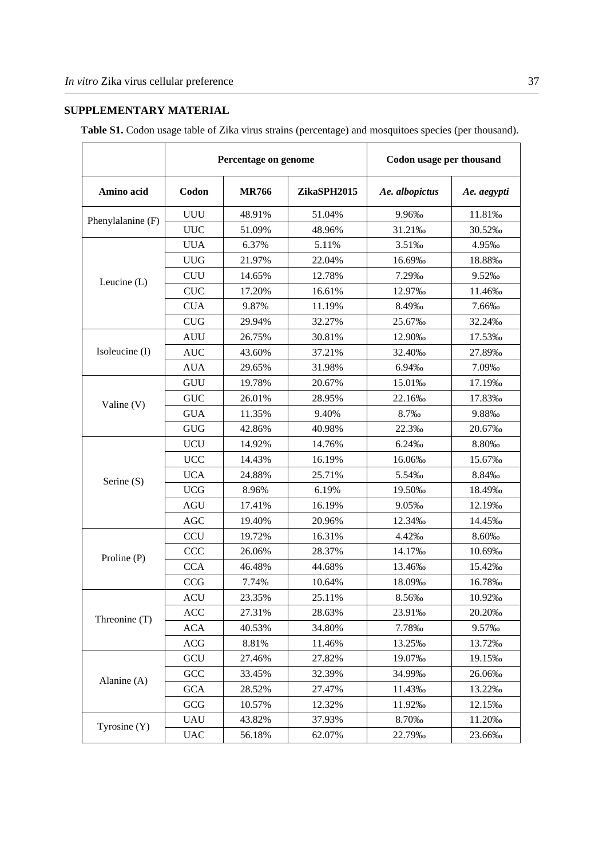# **SUPPLEMENTARY MATERIAL**

**Table S1.** Codon usage table of Zika virus strains (percentage) and mosquitoes species (per thousand).

|                   | Percentage on genome |              | Codon usage per thousand |                |             |
|-------------------|----------------------|--------------|--------------------------|----------------|-------------|
| Amino acid        | Codon                | <b>MR766</b> | ZikaSPH2015              | Ae. albopictus | Ae. aegypti |
|                   | <b>UUU</b>           | 48.91%       | 51.04%                   | 9.96%          | 11.81‰      |
| Phenylalanine (F) | <b>UUC</b>           | 51.09%       | 48.96%                   | 31.21%         | 30.52%      |
|                   | <b>UUA</b>           | 6.37%        | 5.11%                    | 3.51%          | 4.95%       |
|                   | <b>UUG</b>           | 21.97%       | 22.04%                   | 16.69%         | 18.88%      |
|                   | <b>CUU</b>           | 14.65%       | 12.78%                   | 7.29‰          | 9.52%       |
| Leucine $(L)$     | <b>CUC</b>           | 17.20%       | 16.61%                   | 12.97%         | 11.46‰      |
|                   | <b>CUA</b>           | 9.87%        | 11.19%                   | 8.49%          | 7.66‰       |
|                   | CUG                  | 29.94%       | 32.27%                   | 25.67%         | 32.24%      |
|                   | <b>AUU</b>           | 26.75%       | 30.81%                   | 12.90%         | 17.53%      |
| Isoleucine (I)    | <b>AUC</b>           | 43.60%       | 37.21%                   | 32.40‰         | 27.89%      |
|                   | <b>AUA</b>           | 29.65%       | 31.98%                   | 6.94%          | 7.09%       |
|                   | GUU                  | 19.78%       | 20.67%                   | 15.01%         | 17.19%      |
|                   | <b>GUC</b>           | 26.01%       | 28.95%                   | 22.16‰         | 17.83%      |
| Valine $(V)$      | <b>GUA</b>           | 11.35%       | 9.40%                    | 8.7%           | 9.88%       |
|                   | <b>GUG</b>           | 42.86%       | 40.98%                   | 22.3%          | 20.67%      |
|                   | <b>UCU</b>           | 14.92%       | 14.76%                   | 6.24‰          | 8.80‰       |
|                   | <b>UCC</b>           | 14.43%       | 16.19%                   | 16.06%         | 15.67%      |
|                   | <b>UCA</b>           | 24.88%       | 25.71%                   | 5.54%          | 8.84%       |
| Serine (S)        | <b>UCG</b>           | 8.96%        | 6.19%                    | 19.50%         | 18.49%      |
|                   | <b>AGU</b>           | 17.41%       | 16.19%                   | 9.05%          | 12.19%      |
|                   | AGC                  | 19.40%       | 20.96%                   | 12.34%         | 14.45%      |
| Proline (P)       | <b>CCU</b>           | 19.72%       | 16.31%                   | 4.42%          | 8.60%       |
|                   | <b>CCC</b>           | 26.06%       | 28.37%                   | 14.17%         | 10.69%      |
|                   | <b>CCA</b>           | 46.48%       | 44.68%                   | 13.46‰         | 15.42%      |
|                   | <b>CCG</b>           | 7.74%        | 10.64%                   | 18.09%         | 16.78%      |
|                   | ACU                  | 23.35%       | 25.11%                   | 8.56‰          | 10.92%      |
|                   | ACC                  | 27.31%       | 28.63%                   | 23.91%         | 20.20‰      |
| Threonine (T)     | <b>ACA</b>           | 40.53%       | 34.80%                   | 7.78%          | 9.57%       |
|                   | ACG                  | 8.81%        | 11.46%                   | 13.25%         | 13.72\%     |
|                   | GCU                  | 27.46%       | 27.82%                   | 19.07%         | 19.15\%     |
|                   | GCC                  | 33.45%       | 32.39%                   | 34.99%         | 26.06‰      |
| Alanine $(A)$     | <b>GCA</b>           | 28.52%       | 27.47%                   | 11.43\%        | 13.22‰      |
|                   | GCG                  | 10.57%       | 12.32%                   | 11.92%         | 12.15%      |
| Tyrosine $(Y)$    | <b>UAU</b>           | 43.82%       | 37.93%                   | 8.70%          | 11.20‰      |
|                   | <b>UAC</b>           | 56.18%       | 62.07%                   | 22.79%         | 23.66‰      |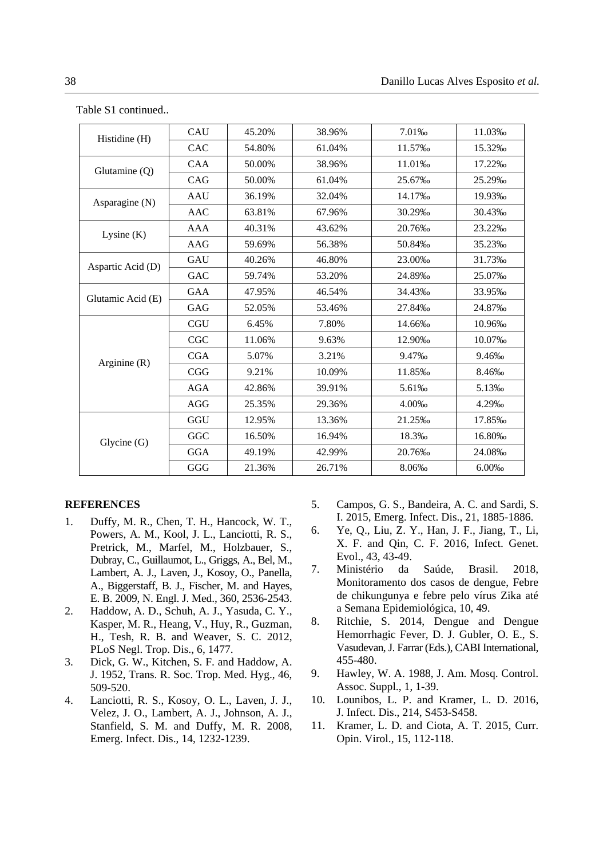| Histidine (H)     | CAU        | 45.20% | 38.96% | 7.01%  | 11.03%  |
|-------------------|------------|--------|--------|--------|---------|
|                   | CAC        | 54.80% | 61.04% | 11.57% | 15.32\% |
| Glutamine (Q)     | <b>CAA</b> | 50.00% | 38.96% | 11.01% | 17.22\% |
|                   | CAG        | 50.00% | 61.04% | 25.67% | 25.29‰  |
| Asparagine (N)    | <b>AAU</b> | 36.19% | 32.04% | 14.17% | 19.93%  |
|                   | <b>AAC</b> | 63.81% | 67.96% | 30.29% | 30.43%  |
| Lysine $(K)$      | <b>AAA</b> | 40.31% | 43.62% | 20.76% | 23.22\% |
|                   | AAG        | 59.69% | 56.38% | 50.84‰ | 35.23‰  |
| Aspartic Acid (D) | GAU        | 40.26% | 46.80% | 23.00‰ | 31.73%  |
|                   | GAC        | 59.74% | 53.20% | 24.89% | 25.07‰  |
| Glutamic Acid (E) | <b>GAA</b> | 47.95% | 46.54% | 34.43% | 33.95%  |
|                   | GAG        | 52.05% | 53.46% | 27.84% | 24.87%  |
| Arginine $(R)$    | <b>CGU</b> | 6.45%  | 7.80%  | 14.66‰ | 10.96%  |
|                   | CGC        | 11.06% | 9.63%  | 12.90% | 10.07%  |
|                   | <b>CGA</b> | 5.07%  | 3.21%  | 9.47%  | 9.46‰   |
|                   | CGG        | 9.21%  | 10.09% | 11.85% | 8.46‰   |
|                   | <b>AGA</b> | 42.86% | 39.91% | 5.61%  | 5.13‰   |
|                   | AGG        | 25.35% | 29.36% | 4.00%  | 4.29%   |
| Glycine(G)        | GGU        | 12.95% | 13.36% | 21.25% | 17.85‰  |
|                   | GGC        | 16.50% | 16.94% | 18.3%  | 16.80‰  |
|                   | <b>GGA</b> | 49.19% | 42.99% | 20.76‰ | 24.08%  |
|                   | GGG        | 21.36% | 26.71% | 8.06%  | 6.00%   |

Table S1 continued..

#### **REFERENCES**

- 1. Duffy, M. R., Chen, T. H., Hancock, W. T., Powers, A. M., Kool, J. L., Lanciotti, R. S., Pretrick, M., Marfel, M., Holzbauer, S., Dubray, C., Guillaumot, L., Griggs, A., Bel, M., Lambert, A. J., Laven, J., Kosoy, O., Panella, A., Biggerstaff, B. J., Fischer, M. and Hayes, E. B. 2009, N. Engl. J. Med., 360, 2536-2543.
- 2. Haddow, A. D., Schuh, A. J., Yasuda, C. Y., Kasper, M. R., Heang, V., Huy, R., Guzman, H., Tesh, R. B. and Weaver, S. C. 2012, PLoS Negl. Trop. Dis., 6, 1477.
- 3. Dick, G. W., Kitchen, S. F. and Haddow, A. J. 1952, Trans. R. Soc. Trop. Med. Hyg., 46, 509-520.
- 4. Lanciotti, R. S., Kosoy, O. L., Laven, J. J., Velez, J. O., Lambert, A. J., Johnson, A. J., Stanfield, S. M. and Duffy, M. R. 2008, Emerg. Infect. Dis., 14, 1232-1239.
- 5. Campos, G. S., Bandeira, A. C. and Sardi, S. I. 2015, Emerg. Infect. Dis., 21, 1885-1886.
- 6. Ye, Q., Liu, Z. Y., Han, J. F., Jiang, T., Li, X. F. and Qin, C. F. 2016, Infect. Genet. Evol., 43, 43-49.
- 7. Ministério da Saúde, Brasil. 2018, Monitoramento dos casos de dengue, Febre de chikungunya e febre pelo vírus Zika até a Semana Epidemiológica, 10, 49.
- 8. Ritchie, S. 2014, Dengue and Dengue Hemorrhagic Fever, D. J. Gubler, O. E., S. Vasudevan, J. Farrar (Eds.), CABI International, 455-480.
- 9. Hawley, W. A. 1988, J. Am. Mosq. Control. Assoc. Suppl., 1, 1-39.
- 10. Lounibos, L. P. and Kramer, L. D. 2016, J. Infect. Dis., 214, S453-S458.
- 11. Kramer, L. D. and Ciota, A. T. 2015, Curr. Opin. Virol., 15, 112-118.